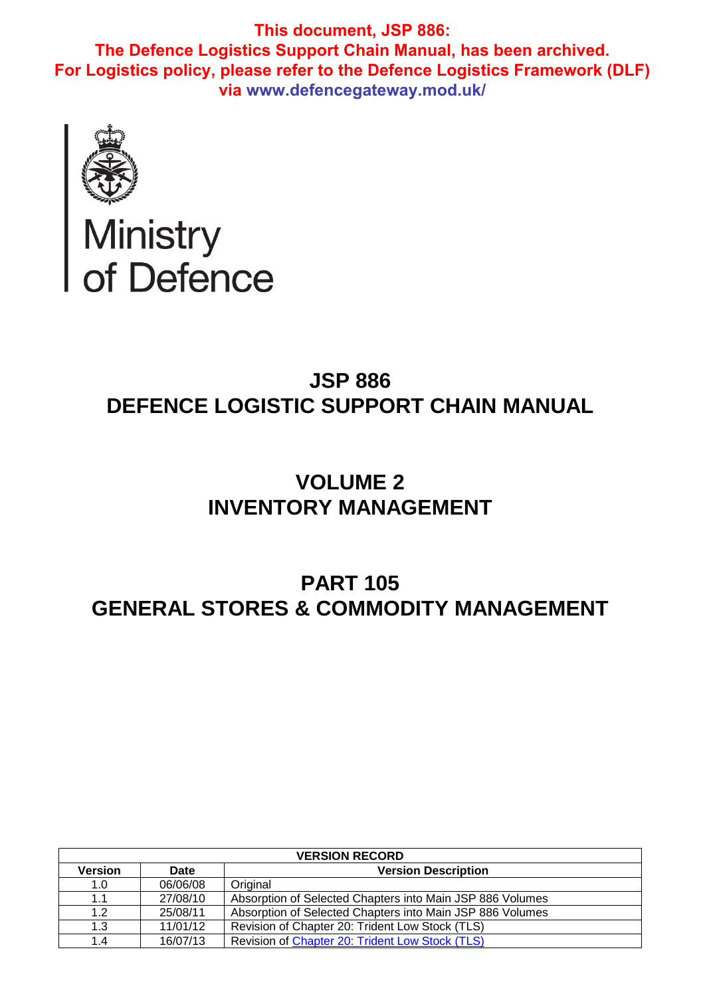

Ministry<br>of Defence

# **JSP 886 DEFENCE LOGISTIC SUPPORT CHAIN MANUAL**

# **VOLUME 2 INVENTORY MANAGEMENT**

# **PART 105 GENERAL STORES & COMMODITY MANAGEMENT**

| <b>VERSION RECORD</b> |             |                                                           |  |  |
|-----------------------|-------------|-----------------------------------------------------------|--|--|
| Version               | <b>Date</b> | <b>Version Description</b>                                |  |  |
| 1.0                   | 06/06/08    | Original                                                  |  |  |
| 1.1                   | 27/08/10    | Absorption of Selected Chapters into Main JSP 886 Volumes |  |  |
| 1.2                   | 25/08/11    | Absorption of Selected Chapters into Main JSP 886 Volumes |  |  |
| 1.3                   | 11/01/12    | Revision of Chapter 20: Trident Low Stock (TLS)           |  |  |
| 1.4                   | 16/07/13    | Revision of Chapter 20: Trident Low Stock (TLS)           |  |  |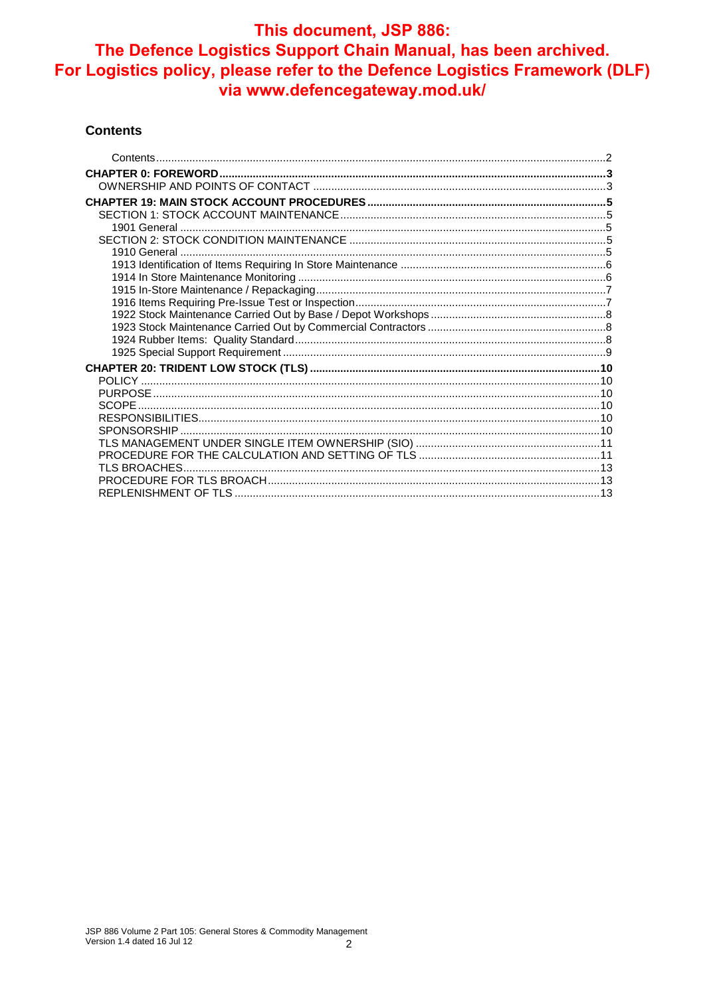#### **Contents**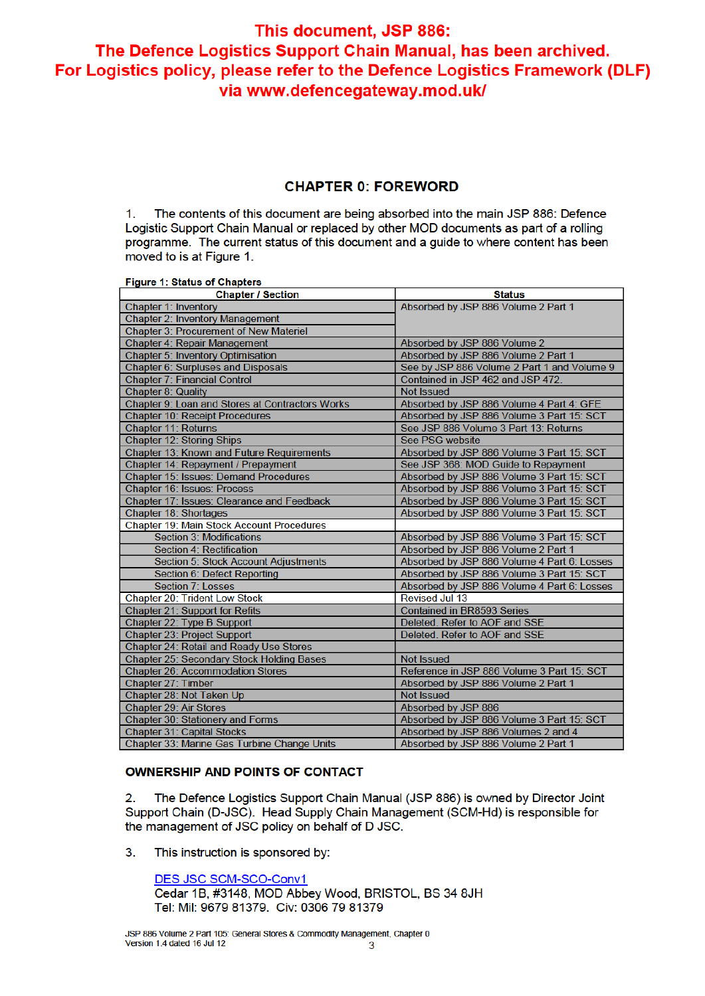## **CHAPTER 0: FOREWORD**

 $1<sub>1</sub>$ The contents of this document are being absorbed into the main JSP 886: Defence Logistic Support Chain Manual or replaced by other MOD documents as part of a rolling programme. The current status of this document and a quide to where content has been moved to is at Figure 1.

**Figure 1: Status of Chapters** 

| <b>Chapter / Section</b>                         | <b>Status</b>                               |
|--------------------------------------------------|---------------------------------------------|
| <b>Chapter 1: Inventory</b>                      | Absorbed by JSP 886 Volume 2 Part 1         |
| <b>Chapter 2: Inventory Management</b>           |                                             |
| <b>Chapter 3: Procurement of New Materiel</b>    |                                             |
| Chapter 4: Repair Management                     | Absorbed by JSP 886 Volume 2                |
| <b>Chapter 5: Inventory Optimisation</b>         | Absorbed by JSP 886 Volume 2 Part 1         |
| Chapter 6: Surpluses and Disposals               | See by JSP 886 Volume 2 Part 1 and Volume 9 |
| <b>Chapter 7: Financial Control</b>              | Contained in JSP 462 and JSP 472.           |
| <b>Chapter 8: Quality</b>                        | <b>Not Issued</b>                           |
| Chapter 9: Loan and Stores at Contractors Works  | Absorbed by JSP 886 Volume 4 Part 4: GFE    |
| <b>Chapter 10: Receipt Procedures</b>            | Absorbed by JSP 886 Volume 3 Part 15: SCT   |
| <b>Chapter 11: Returns</b>                       | See JSP 886 Volume 3 Part 13: Returns       |
| <b>Chapter 12: Storing Ships</b>                 | See PSG website                             |
| Chapter 13: Known and Future Requirements        | Absorbed by JSP 886 Volume 3 Part 15: SCT   |
| Chapter 14: Repayment / Prepayment               | See JSP 368: MOD Guide to Repayment         |
| Chapter 15: Issues: Demand Procedures            | Absorbed by JSP 886 Volume 3 Part 15: SCT   |
| Chapter 16: Issues: Process                      | Absorbed by JSP 886 Volume 3 Part 15: SCT   |
| Chapter 17: Issues: Clearance and Feedback       | Absorbed by JSP 886 Volume 3 Part 15: SCT   |
| Chapter 18: Shortages                            | Absorbed by JSP 886 Volume 3 Part 15: SCT   |
| <b>Chapter 19: Main Stock Account Procedures</b> |                                             |
| <b>Section 3: Modifications</b>                  | Absorbed by JSP 886 Volume 3 Part 15: SCT   |
| Section 4: Rectification                         | Absorbed by JSP 886 Volume 2 Part 1         |
| Section 5: Stock Account Adjustments             | Absorbed by JSP 886 Volume 4 Part 6: Losses |
| Section 6: Defect Reporting                      | Absorbed by JSP 886 Volume 3 Part 15: SCT   |
| Section 7: Losses                                | Absorbed by JSP 886 Volume 4 Part 6: Losses |
| Chapter 20: Trident Low Stock                    | <b>Revised Jul 13</b>                       |
| Chapter 21: Support for Refits                   | <b>Contained in BR8593 Series</b>           |
| Chapter 22: Type B Support                       | Deleted. Refer to AOF and SSE               |
| Chapter 23: Project Support                      | Deleted. Refer to AOF and SSE               |
| Chapter 24: Retail and Ready Use Stores          |                                             |
| Chapter 25: Secondary Stock Holding Bases        | <b>Not Issued</b>                           |
| <b>Chapter 26: Accommodation Stores</b>          | Reference in JSP 886 Volume 3 Part 15: SCT  |
| Chapter 27: Timber                               | Absorbed by JSP 886 Volume 2 Part 1         |
| Chapter 28: Not Taken Up                         | <b>Not Issued</b>                           |
| Chapter 29: Air Stores                           | Absorbed by JSP 886                         |
| Chapter 30: Stationery and Forms                 | Absorbed by JSP 886 Volume 3 Part 15: SCT   |
| Chapter 31: Capital Stocks                       | Absorbed by JSP 886 Volumes 2 and 4         |
| Chapter 33: Marine Gas Turbine Change Units      | Absorbed by JSP 886 Volume 2 Part 1         |

#### **OWNERSHIP AND POINTS OF CONTACT**

The Defence Logistics Support Chain Manual (JSP 886) is owned by Director Joint  $2.$ Support Chain (D-JSC). Head Supply Chain Management (SCM-Hd) is responsible for the management of JSC policy on behalf of D JSC.

 $3.$ This instruction is sponsored by:

> DES JSC SCM-SCO-Conv1 Cedar 1B, #3148, MOD Abbey Wood, BRISTOL, BS 34 8JH Tel: Mil: 9679 81379. Civ: 0306 79 81379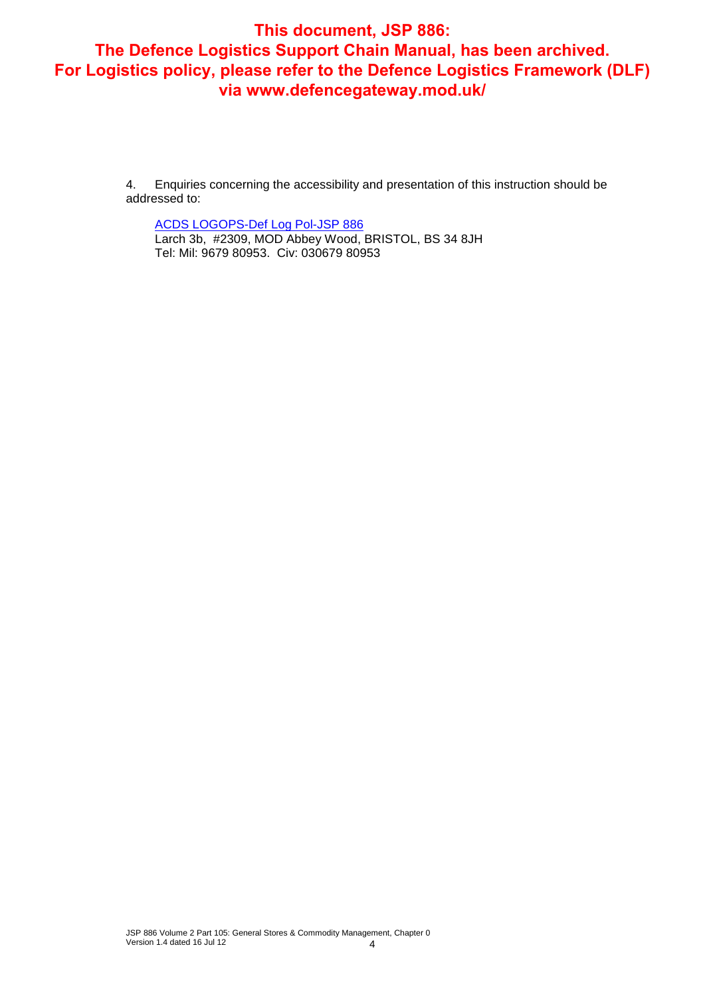4. Enquiries concerning the accessibility and presentation of this instruction should be addressed to:

ACDS LOGOPS-Def Log Pol-JSP 886 Larch 3b, #2309, MOD Abbey Wood, BRISTOL, BS 34 8JH Tel: Mil: 9679 80953. Civ: 030679 80953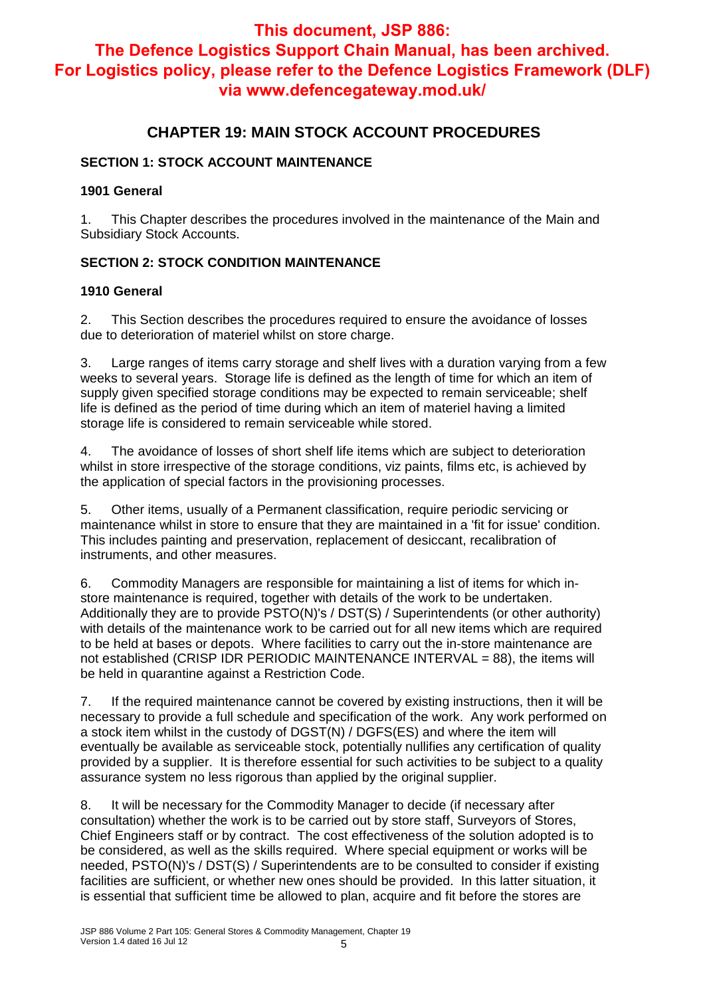# **This document, JSP 886:**

# **The Defence Logistics Support Chain Manual, has been archived. For Logistics policy, please refer to the Defence Logistics Framework (DLF) via www.defencegateway.mod.uk/**

## **CHAPTER 19: MAIN STOCK ACCOUNT PROCEDURES**

## **SECTION 1: STOCK ACCOUNT MAINTENANCE**

## **1901 General**

1. This Chapter describes the procedures involved in the maintenance of the Main and Subsidiary Stock Accounts.

## **SECTION 2: STOCK CONDITION MAINTENANCE**

## **1910 General**

2. This Section describes the procedures required to ensure the avoidance of losses due to deterioration of materiel whilst on store charge.

3. Large ranges of items carry storage and shelf lives with a duration varying from a few weeks to several years. Storage life is defined as the length of time for which an item of supply given specified storage conditions may be expected to remain serviceable; shelf life is defined as the period of time during which an item of materiel having a limited storage life is considered to remain serviceable while stored.

4. The avoidance of losses of short shelf life items which are subject to deterioration whilst in store irrespective of the storage conditions, viz paints, films etc, is achieved by the application of special factors in the provisioning processes.

5. Other items, usually of a Permanent classification, require periodic servicing or maintenance whilst in store to ensure that they are maintained in a 'fit for issue' condition. This includes painting and preservation, replacement of desiccant, recalibration of instruments, and other measures.

6. Commodity Managers are responsible for maintaining a list of items for which instore maintenance is required, together with details of the work to be undertaken. Additionally they are to provide PSTO(N)'s / DST(S) / Superintendents (or other authority) with details of the maintenance work to be carried out for all new items which are required to be held at bases or depots. Where facilities to carry out the in-store maintenance are not established (CRISP IDR PERIODIC MAINTENANCE INTERVAL = 88), the items will be held in quarantine against a Restriction Code.

7. If the required maintenance cannot be covered by existing instructions, then it will be necessary to provide a full schedule and specification of the work. Any work performed on a stock item whilst in the custody of DGST(N) / DGFS(ES) and where the item will eventually be available as serviceable stock, potentially nullifies any certification of quality provided by a supplier. It is therefore essential for such activities to be subject to a quality assurance system no less rigorous than applied by the original supplier.

8. It will be necessary for the Commodity Manager to decide (if necessary after consultation) whether the work is to be carried out by store staff, Surveyors of Stores, Chief Engineers staff or by contract. The cost effectiveness of the solution adopted is to be considered, as well as the skills required. Where special equipment or works will be needed, PSTO(N)'s / DST(S) / Superintendents are to be consulted to consider if existing facilities are sufficient, or whether new ones should be provided. In this latter situation, it is essential that sufficient time be allowed to plan, acquire and fit before the stores are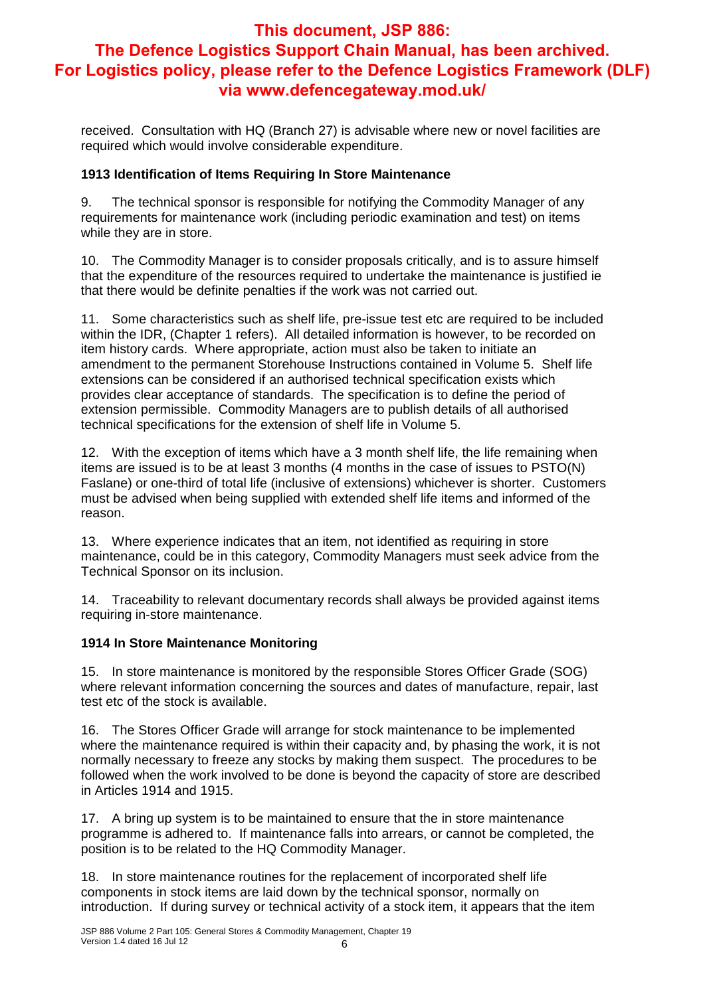received. Consultation with HQ (Branch 27) is advisable where new or novel facilities are required which would involve considerable expenditure.

### **1913 Identification of Items Requiring In Store Maintenance**

9. The technical sponsor is responsible for notifying the Commodity Manager of any requirements for maintenance work (including periodic examination and test) on items while they are in store.

10. The Commodity Manager is to consider proposals critically, and is to assure himself that the expenditure of the resources required to undertake the maintenance is justified ie that there would be definite penalties if the work was not carried out.

11. Some characteristics such as shelf life, pre-issue test etc are required to be included within the IDR, (Chapter 1 refers). All detailed information is however, to be recorded on item history cards. Where appropriate, action must also be taken to initiate an amendment to the permanent Storehouse Instructions contained in Volume 5. Shelf life extensions can be considered if an authorised technical specification exists which provides clear acceptance of standards. The specification is to define the period of extension permissible. Commodity Managers are to publish details of all authorised technical specifications for the extension of shelf life in Volume 5.

12. With the exception of items which have a 3 month shelf life, the life remaining when items are issued is to be at least 3 months (4 months in the case of issues to PSTO(N) Faslane) or one-third of total life (inclusive of extensions) whichever is shorter. Customers must be advised when being supplied with extended shelf life items and informed of the reason.

13. Where experience indicates that an item, not identified as requiring in store maintenance, could be in this category, Commodity Managers must seek advice from the Technical Sponsor on its inclusion.

14. Traceability to relevant documentary records shall always be provided against items requiring in-store maintenance.

#### **1914 In Store Maintenance Monitoring**

15. In store maintenance is monitored by the responsible Stores Officer Grade (SOG) where relevant information concerning the sources and dates of manufacture, repair, last test etc of the stock is available.

16. The Stores Officer Grade will arrange for stock maintenance to be implemented where the maintenance required is within their capacity and, by phasing the work, it is not normally necessary to freeze any stocks by making them suspect. The procedures to be followed when the work involved to be done is beyond the capacity of store are described in Articles 1914 and 1915.

17. A bring up system is to be maintained to ensure that the in store maintenance programme is adhered to. If maintenance falls into arrears, or cannot be completed, the position is to be related to the HQ Commodity Manager.

18. In store maintenance routines for the replacement of incorporated shelf life components in stock items are laid down by the technical sponsor, normally on introduction. If during survey or technical activity of a stock item, it appears that the item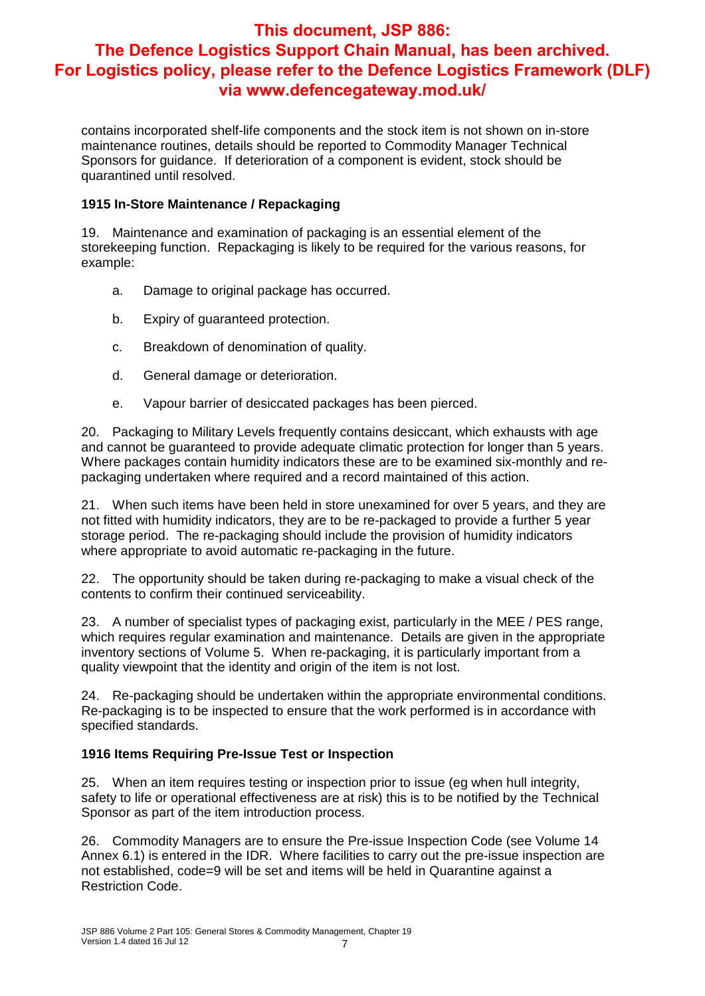contains incorporated shelf-life components and the stock item is not shown on in-store maintenance routines, details should be reported to Commodity Manager Technical Sponsors for guidance. If deterioration of a component is evident, stock should be quarantined until resolved.

## **1915 In-Store Maintenance / Repackaging**

19. Maintenance and examination of packaging is an essential element of the storekeeping function. Repackaging is likely to be required for the various reasons, for example:

- a. Damage to original package has occurred.
- b. Expiry of guaranteed protection.
- c. Breakdown of denomination of quality.
- d. General damage or deterioration.
- e. Vapour barrier of desiccated packages has been pierced.

20. Packaging to Military Levels frequently contains desiccant, which exhausts with age and cannot be guaranteed to provide adequate climatic protection for longer than 5 years. Where packages contain humidity indicators these are to be examined six-monthly and repackaging undertaken where required and a record maintained of this action.

21. When such items have been held in store unexamined for over 5 years, and they are not fitted with humidity indicators, they are to be re-packaged to provide a further 5 year storage period. The re-packaging should include the provision of humidity indicators where appropriate to avoid automatic re-packaging in the future.

22. The opportunity should be taken during re-packaging to make a visual check of the contents to confirm their continued serviceability.

23. A number of specialist types of packaging exist, particularly in the MEE / PES range, which requires regular examination and maintenance. Details are given in the appropriate inventory sections of Volume 5. When re-packaging, it is particularly important from a quality viewpoint that the identity and origin of the item is not lost.

24. Re-packaging should be undertaken within the appropriate environmental conditions. Re-packaging is to be inspected to ensure that the work performed is in accordance with specified standards.

## **1916 Items Requiring Pre-Issue Test or Inspection**

25. When an item requires testing or inspection prior to issue (eg when hull integrity, safety to life or operational effectiveness are at risk) this is to be notified by the Technical Sponsor as part of the item introduction process.

26. Commodity Managers are to ensure the Pre-issue Inspection Code (see Volume 14 Annex 6.1) is entered in the IDR. Where facilities to carry out the pre-issue inspection are not established, code=9 will be set and items will be held in Quarantine against a Restriction Code.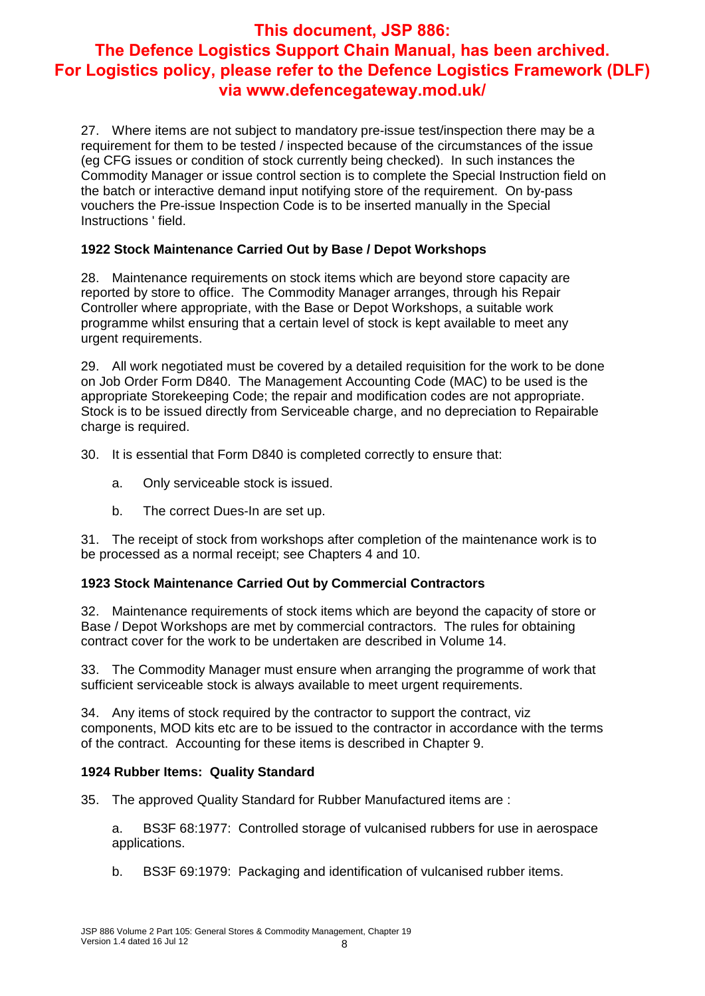27. Where items are not subject to mandatory pre-issue test/inspection there may be a requirement for them to be tested / inspected because of the circumstances of the issue (eg CFG issues or condition of stock currently being checked). In such instances the Commodity Manager or issue control section is to complete the Special Instruction field on the batch or interactive demand input notifying store of the requirement. On by-pass vouchers the Pre-issue Inspection Code is to be inserted manually in the Special Instructions ' field.

## **1922 Stock Maintenance Carried Out by Base / Depot Workshops**

28. Maintenance requirements on stock items which are beyond store capacity are reported by store to office. The Commodity Manager arranges, through his Repair Controller where appropriate, with the Base or Depot Workshops, a suitable work programme whilst ensuring that a certain level of stock is kept available to meet any urgent requirements.

29. All work negotiated must be covered by a detailed requisition for the work to be done on Job Order Form D840. The Management Accounting Code (MAC) to be used is the appropriate Storekeeping Code; the repair and modification codes are not appropriate. Stock is to be issued directly from Serviceable charge, and no depreciation to Repairable charge is required.

30. It is essential that Form D840 is completed correctly to ensure that:

- a. Only serviceable stock is issued.
- b. The correct Dues-In are set up.

31. The receipt of stock from workshops after completion of the maintenance work is to be processed as a normal receipt; see Chapters 4 and 10.

## **1923 Stock Maintenance Carried Out by Commercial Contractors**

32. Maintenance requirements of stock items which are beyond the capacity of store or Base / Depot Workshops are met by commercial contractors. The rules for obtaining contract cover for the work to be undertaken are described in Volume 14.

33. The Commodity Manager must ensure when arranging the programme of work that sufficient serviceable stock is always available to meet urgent requirements.

34. Any items of stock required by the contractor to support the contract, viz components, MOD kits etc are to be issued to the contractor in accordance with the terms of the contract. Accounting for these items is described in Chapter 9.

## **1924 Rubber Items: Quality Standard**

35. The approved Quality Standard for Rubber Manufactured items are :

a. BS3F 68:1977: Controlled storage of vulcanised rubbers for use in aerospace applications.

b. BS3F 69:1979: Packaging and identification of vulcanised rubber items.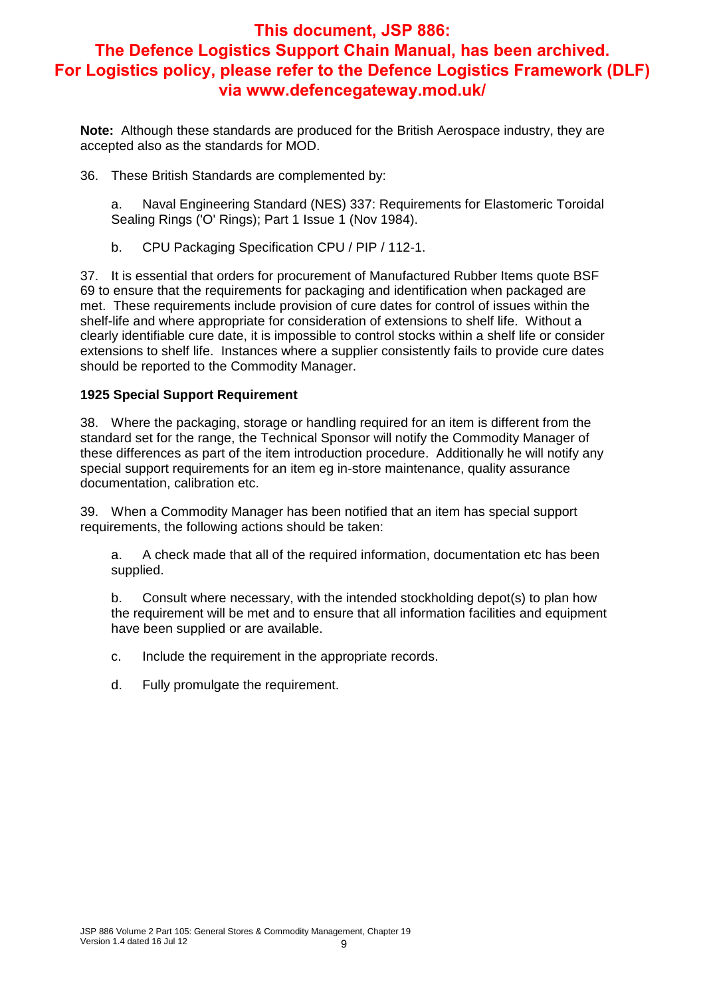**Note:** Although these standards are produced for the British Aerospace industry, they are accepted also as the standards for MOD.

36. These British Standards are complemented by:

a. Naval Engineering Standard (NES) 337: Requirements for Elastomeric Toroidal Sealing Rings ('O' Rings); Part 1 Issue 1 (Nov 1984).

b. CPU Packaging Specification CPU / PIP / 112-1.

37. It is essential that orders for procurement of Manufactured Rubber Items quote BSF 69 to ensure that the requirements for packaging and identification when packaged are met. These requirements include provision of cure dates for control of issues within the shelf-life and where appropriate for consideration of extensions to shelf life. Without a clearly identifiable cure date, it is impossible to control stocks within a shelf life or consider extensions to shelf life. Instances where a supplier consistently fails to provide cure dates should be reported to the Commodity Manager.

#### **1925 Special Support Requirement**

38. Where the packaging, storage or handling required for an item is different from the standard set for the range, the Technical Sponsor will notify the Commodity Manager of these differences as part of the item introduction procedure. Additionally he will notify any special support requirements for an item eg in-store maintenance, quality assurance documentation, calibration etc.

39. When a Commodity Manager has been notified that an item has special support requirements, the following actions should be taken:

a. A check made that all of the required information, documentation etc has been supplied.

b. Consult where necessary, with the intended stockholding depot(s) to plan how the requirement will be met and to ensure that all information facilities and equipment have been supplied or are available.

- c. Include the requirement in the appropriate records.
- d. Fully promulgate the requirement.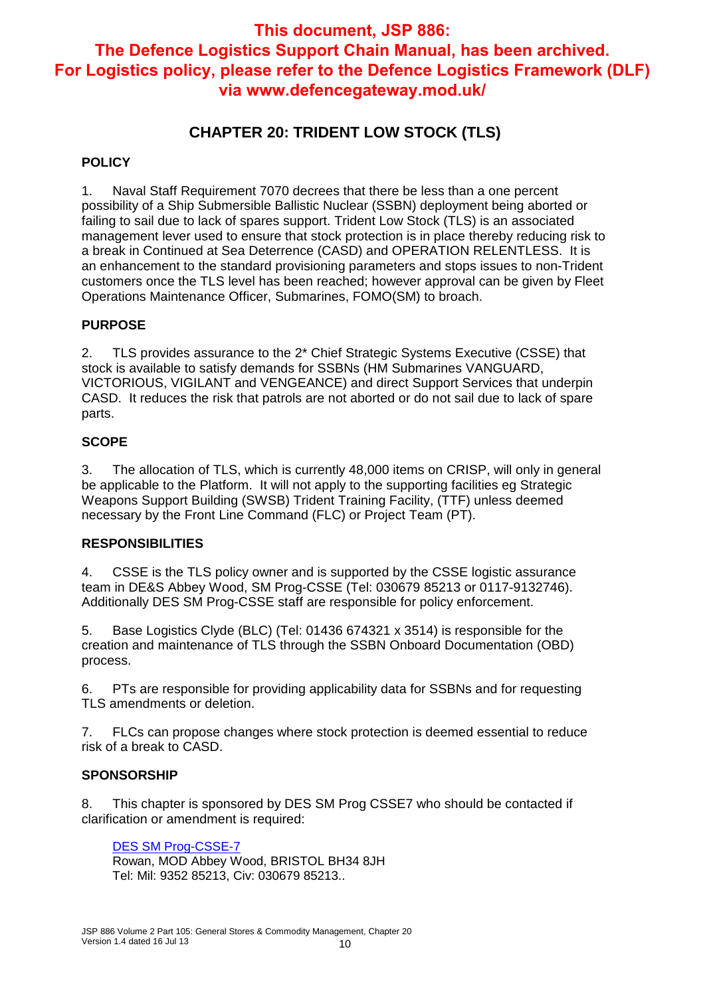# **CHAPTER 20: TRIDENT LOW STOCK (TLS)**

### **POLICY**

1. Naval Staff Requirement 7070 decrees that there be less than a one percent possibility of a Ship Submersible Ballistic Nuclear (SSBN) deployment being aborted or failing to sail due to lack of spares support. Trident Low Stock (TLS) is an associated management lever used to ensure that stock protection is in place thereby reducing risk to a break in Continued at Sea Deterrence (CASD) and OPERATION RELENTLESS. It is an enhancement to the standard provisioning parameters and stops issues to non-Trident customers once the TLS level has been reached; however approval can be given by Fleet Operations Maintenance Officer, Submarines, FOMO(SM) to broach.

## **PURPOSE**

2. TLS provides assurance to the 2\* Chief Strategic Systems Executive (CSSE) that stock is available to satisfy demands for SSBNs (HM Submarines VANGUARD, VICTORIOUS, VIGILANT and VENGEANCE) and direct Support Services that underpin CASD. It reduces the risk that patrols are not aborted or do not sail due to lack of spare parts.

#### **SCOPE**

3. The allocation of TLS, which is currently 48,000 items on CRISP, will only in general be applicable to the Platform. It will not apply to the supporting facilities eg Strategic Weapons Support Building (SWSB) Trident Training Facility, (TTF) unless deemed necessary by the Front Line Command (FLC) or Project Team (PT).

#### **RESPONSIBILITIES**

4. CSSE is the TLS policy owner and is supported by the CSSE logistic assurance team in DE&S Abbey Wood, SM Prog-CSSE (Tel: 030679 85213 or 0117-9132746). Additionally DES SM Prog-CSSE staff are responsible for policy enforcement.

5. Base Logistics Clyde (BLC) (Tel: 01436 674321 x 3514) is responsible for the creation and maintenance of TLS through the SSBN Onboard Documentation (OBD) process.

6. PTs are responsible for providing applicability data for SSBNs and for requesting TLS amendments or deletion.

7. FLCs can propose changes where stock protection is deemed essential to reduce risk of a break to CASD.

#### **SPONSORSHIP**

8. This chapter is sponsored by DES SM Prog CSSE7 who should be contacted if clarification or amendment is required:

#### DES SM Prog-CSSE-7

Rowan, MOD Abbey Wood, BRISTOL BH34 8JH Tel: Mil: 9352 85213, Civ: 030679 85213..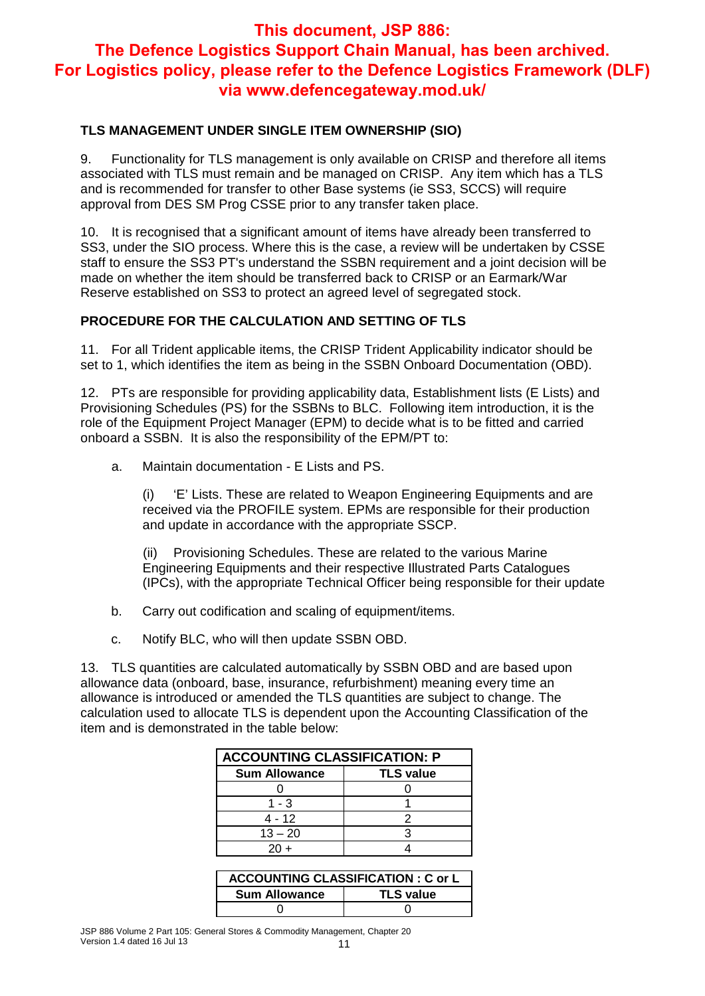## **TLS MANAGEMENT UNDER SINGLE ITEM OWNERSHIP (SIO)**

9. Functionality for TLS management is only available on CRISP and therefore all items associated with TLS must remain and be managed on CRISP. Any item which has a TLS and is recommended for transfer to other Base systems (ie SS3, SCCS) will require approval from DES SM Prog CSSE prior to any transfer taken place.

10. It is recognised that a significant amount of items have already been transferred to SS3, under the SIO process. Where this is the case, a review will be undertaken by CSSE staff to ensure the SS3 PT's understand the SSBN requirement and a joint decision will be made on whether the item should be transferred back to CRISP or an Earmark/War Reserve established on SS3 to protect an agreed level of segregated stock.

## **PROCEDURE FOR THE CALCULATION AND SETTING OF TLS**

11. For all Trident applicable items, the CRISP Trident Applicability indicator should be set to 1, which identifies the item as being in the SSBN Onboard Documentation (OBD).

12. PTs are responsible for providing applicability data, Establishment lists (E Lists) and Provisioning Schedules (PS) for the SSBNs to BLC. Following item introduction, it is the role of the Equipment Project Manager (EPM) to decide what is to be fitted and carried onboard a SSBN. It is also the responsibility of the EPM/PT to:

a. Maintain documentation - E Lists and PS.

(i) 'E' Lists. These are related to Weapon Engineering Equipments and are received via the PROFILE system. EPMs are responsible for their production and update in accordance with the appropriate SSCP.

(ii) Provisioning Schedules. These are related to the various Marine Engineering Equipments and their respective Illustrated Parts Catalogues (IPCs), with the appropriate Technical Officer being responsible for their update

- b. Carry out codification and scaling of equipment/items.
- c. Notify BLC, who will then update SSBN OBD.

13. TLS quantities are calculated automatically by SSBN OBD and are based upon allowance data (onboard, base, insurance, refurbishment) meaning every time an allowance is introduced or amended the TLS quantities are subject to change. The calculation used to allocate TLS is dependent upon the Accounting Classification of the item and is demonstrated in the table below:

| <b>ACCOUNTING CLASSIFICATION: P</b> |                  |  |  |  |
|-------------------------------------|------------------|--|--|--|
| <b>Sum Allowance</b>                | <b>TLS value</b> |  |  |  |
|                                     |                  |  |  |  |
| $1 - 3$                             |                  |  |  |  |
| 4 - 12                              |                  |  |  |  |
| $13 - 20$                           |                  |  |  |  |
| $20 +$                              |                  |  |  |  |

| <b>ACCOUNTING CLASSIFICATION : C or L</b> |                  |  |  |  |
|-------------------------------------------|------------------|--|--|--|
| <b>Sum Allowance</b>                      | <b>TLS value</b> |  |  |  |
|                                           |                  |  |  |  |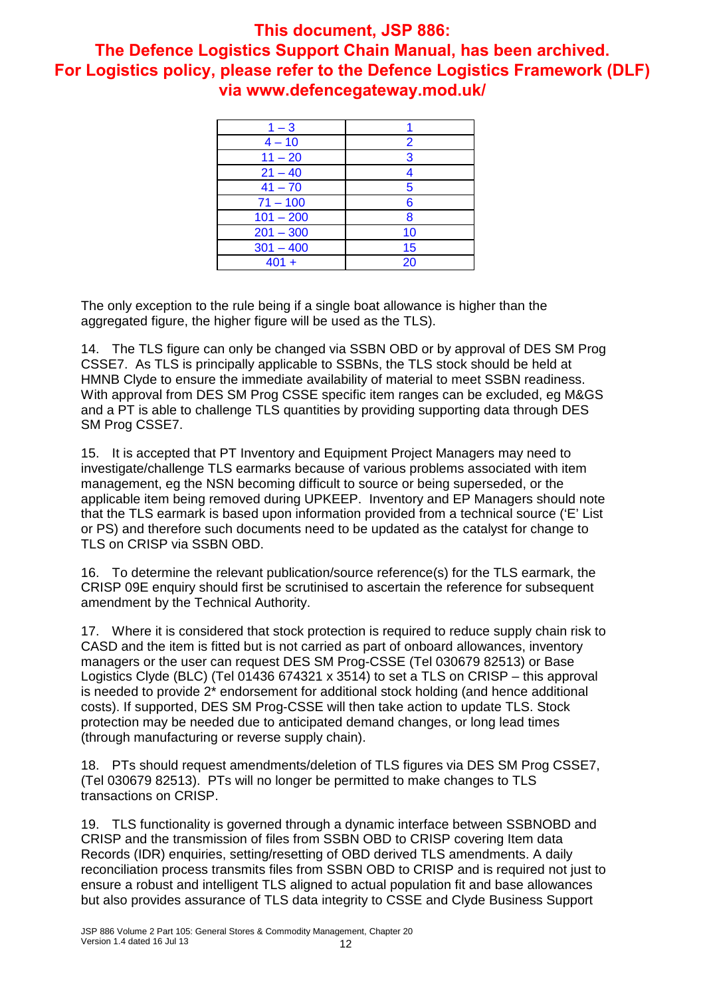| $1 - 3$     |    |
|-------------|----|
| $4 - 10$    | 2  |
| $11 - 20$   | 3  |
| $21 - 40$   |    |
| $41 - 70$   | 5  |
| $71 - 100$  | 6  |
| $101 - 200$ | 8  |
| $201 - 300$ | 10 |
| $301 - 400$ | 15 |
| $401 +$     | 20 |

The only exception to the rule being if a single boat allowance is higher than the aggregated figure, the higher figure will be used as the TLS).

14. The TLS figure can only be changed via SSBN OBD or by approval of DES SM Prog CSSE7. As TLS is principally applicable to SSBNs, the TLS stock should be held at HMNB Clyde to ensure the immediate availability of material to meet SSBN readiness. With approval from DES SM Prog CSSE specific item ranges can be excluded, eg M&GS and a PT is able to challenge TLS quantities by providing supporting data through DES SM Prog CSSE7.

15. It is accepted that PT Inventory and Equipment Project Managers may need to investigate/challenge TLS earmarks because of various problems associated with item management, eg the NSN becoming difficult to source or being superseded, or the applicable item being removed during UPKEEP. Inventory and EP Managers should note that the TLS earmark is based upon information provided from a technical source ('E' List or PS) and therefore such documents need to be updated as the catalyst for change to TLS on CRISP via SSBN OBD.

16. To determine the relevant publication/source reference(s) for the TLS earmark, the CRISP 09E enquiry should first be scrutinised to ascertain the reference for subsequent amendment by the Technical Authority.

17. Where it is considered that stock protection is required to reduce supply chain risk to CASD and the item is fitted but is not carried as part of onboard allowances, inventory managers or the user can request DES SM Prog-CSSE (Tel 030679 82513) or Base Logistics Clyde (BLC) (Tel 01436 674321 x 3514) to set a TLS on CRISP – this approval is needed to provide 2\* endorsement for additional stock holding (and hence additional costs). If supported, DES SM Prog-CSSE will then take action to update TLS. Stock protection may be needed due to anticipated demand changes, or long lead times (through manufacturing or reverse supply chain).

18. PTs should request amendments/deletion of TLS figures via DES SM Prog CSSE7, (Tel 030679 82513). PTs will no longer be permitted to make changes to TLS transactions on CRISP.

19. TLS functionality is governed through a dynamic interface between SSBNOBD and CRISP and the transmission of files from SSBN OBD to CRISP covering Item data Records (IDR) enquiries, setting/resetting of OBD derived TLS amendments. A daily reconciliation process transmits files from SSBN OBD to CRISP and is required not just to ensure a robust and intelligent TLS aligned to actual population fit and base allowances but also provides assurance of TLS data integrity to CSSE and Clyde Business Support